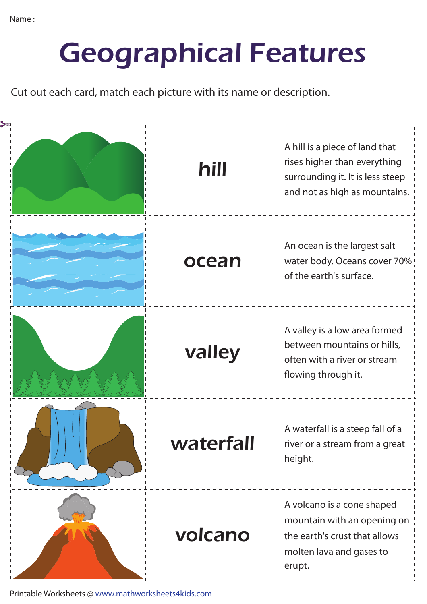## Geographical Features

Cut out each card, match each picture with its name or description.

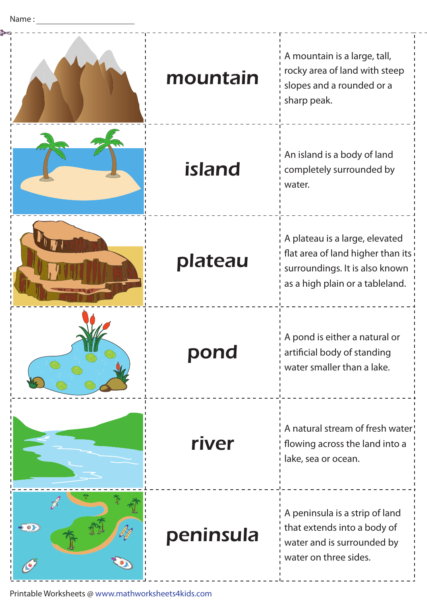|           | mountain  | A mountain is a large, tall,<br>rocky area of land with steep<br>slopes and a rounded or a<br>sharp peak.                                |
|-----------|-----------|------------------------------------------------------------------------------------------------------------------------------------------|
|           | island    | An island is a body of land<br>completely surrounded by<br>water.                                                                        |
|           | plateau   | A plateau is a large, elevated<br>flat area of land higher than its<br>surroundings. It is also known<br>as a high plain or a tableland. |
|           | pond      | A pond is either a natural or<br>artificial body of standing<br>water smaller than a lake.                                               |
|           | river     | A natural stream of fresh water!<br>flowing across the land into a<br>lake, sea or ocean.                                                |
| <b>DD</b> | peninsula | A peninsula is a strip of land<br>that extends into a body of<br>water and is surrounded by<br>water on three sides.                     |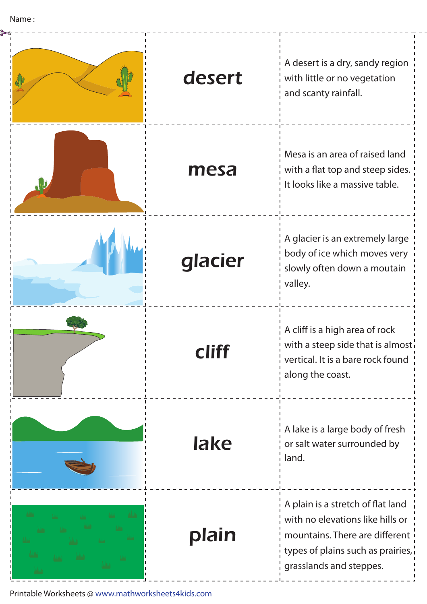| desert  | A desert is a dry, sandy region<br>with little or no vegetation<br>and scanty rainfall.                                                                                 |
|---------|-------------------------------------------------------------------------------------------------------------------------------------------------------------------------|
| mesa    | Mesa is an area of raised land<br>with a flat top and steep sides.<br>It looks like a massive table.                                                                    |
| glacier | A glacier is an extremely large<br>body of ice which moves very<br>slowly often down a moutain<br>valley.                                                               |
|         | A cliff is a high area of rock<br>with a steep side that is almost.<br>vertical. It is a bare rock found<br>along the coast.                                            |
| lake    | A lake is a large body of fresh<br>or salt water surrounded by<br>land.                                                                                                 |
| plain   | A plain is a stretch of flat land<br>with no elevations like hills or<br>mountains. There are different<br>types of plains such as prairies,<br>grasslands and steppes. |

 $\overline{a}$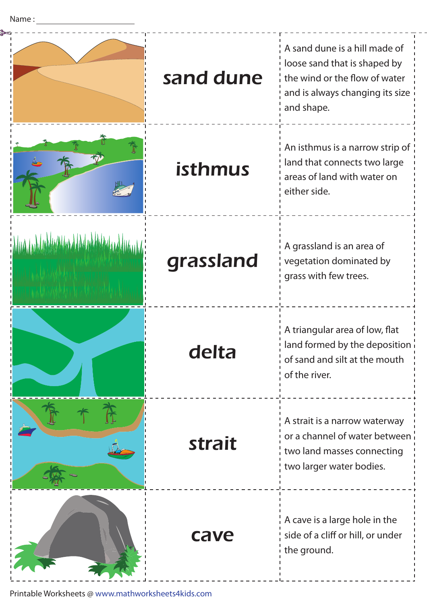|                           |           | A sand dune is a hill made of<br>loose sand that is shaped by                                                            |
|---------------------------|-----------|--------------------------------------------------------------------------------------------------------------------------|
|                           | sand dune | the wind or the flow of water<br>and is always changing its size<br>and shape.                                           |
|                           | isthmus   | An isthmus is a narrow strip of<br>land that connects two large<br>areas of land with water on<br>either side.           |
| <u> Industrial Idalma</u> | grassland | A grassland is an area of<br>vegetation dominated by<br>grass with few trees.                                            |
|                           | delta     | A triangular area of low, flat<br>land formed by the deposition<br>of sand and silt at the mouth<br>of the river.        |
|                           | strait    | A strait is a narrow waterway<br>or a channel of water between<br>two land masses connecting<br>two larger water bodies. |
|                           | cave      | A cave is a large hole in the<br>side of a cliff or hill, or under<br>the ground.                                        |